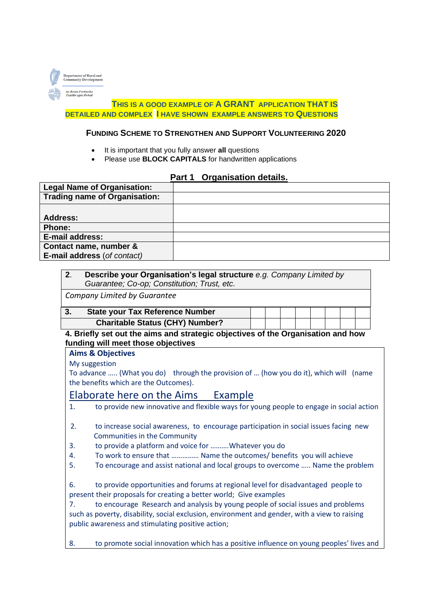

#### **THIS IS A GOOD EXAMPLE OF A GRANT APPLICATION THAT IS DETAILED AND COMPLEX I HAVE SHOWN EXAMPLE ANSWERS TO QUESTIONS**

#### **FUNDING SCHEME TO STRENGTHEN AND SUPPORT VOLUNTEERING 2020**

- It is important that you fully answer **all** questions
- Please use **BLOCK CAPITALS** for handwritten applications

#### **Part 1 Organisation details.**

| <b>Legal Name of Organisation:</b>   |  |
|--------------------------------------|--|
| <b>Trading name of Organisation:</b> |  |
|                                      |  |
| Address:                             |  |
| <b>Phone:</b>                        |  |
| E-mail address:                      |  |
| Contact name, number &               |  |
| E-mail address (of contact)          |  |

| 2. | Describe your Organisation's legal structure e.g. Company Limited by |  |
|----|----------------------------------------------------------------------|--|
|    | Guarantee; Co-op; Constitution; Trust, etc.                          |  |
|    |                                                                      |  |

*Company Limited by Guarantee* 

| J. | <b>State your Tax Reference Number</b> |  |  |  |  |
|----|----------------------------------------|--|--|--|--|
|    | <b>Charitable Status (CHY) Number?</b> |  |  |  |  |

**4. Briefly set out the aims and strategic objectives of the Organisation and how funding will meet those objectives** 

**Aims & Objectives**

My suggestion

To advance ….. (What you do) through the provision of … (how you do it), which will (name the benefits which are the Outcomes).

# Elaborate here on the Aims Example

1. to provide new innovative and flexible ways for young people to engage in social action

| to increase social awareness, to encourage participation in social issues facing new |  |
|--------------------------------------------------------------------------------------|--|
| Communities in the Community                                                         |  |

- 3. to provide a platform and voice for ……….Whatever you do
- 4. To work to ensure that …………… Name the outcomes/ benefits you will achieve
- 5. To encourage and assist national and local groups to overcome ….. Name the problem

6. to provide opportunities and forums at regional level for disadvantaged people to present their proposals for creating a better world; Give examples

7. to encourage Research and analysis by young people of social issues and problems such as poverty, disability, social exclusion, environment and gender, with a view to raising public awareness and stimulating positive action;

8. to promote social innovation which has a positive influence on young peoples' lives and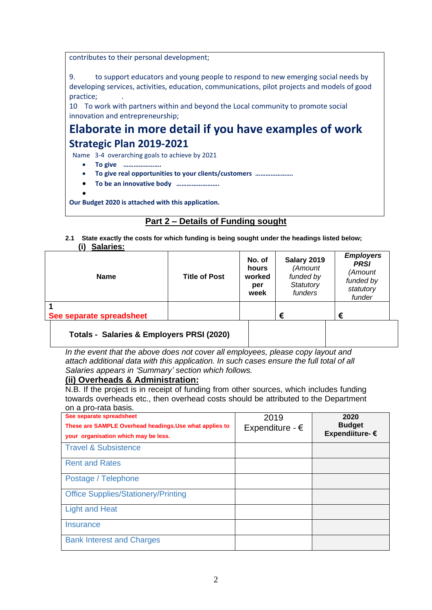contributes to their personal development;

9. to support educators and young people to respond to new emerging social needs by developing services, activities, education, communications, pilot projects and models of good practice; .

10 To work with partners within and beyond the Local community to promote social innovation and entrepreneurship;

# **Elaborate in more detail if you have examples of work Strategic Plan 2019-2021**

Name 3-4 overarching goals to achieve by 2021

- **To give ………………….**
- **To give real opportunities to your clients/customers ………………….**
- **To be an innovative body …………………….**
- •

**Our Budget 2020 is attached with this application.**

# **Part 2 – Details of Funding sought**

**2.1 State exactly the costs for which funding is being sought under the headings listed below; (i) Salaries:**

| <b>Name</b>                               | <b>Title of Post</b> | No. of<br>hours<br>worked<br>per<br>week | Salary 2019<br>(Amount<br>funded by<br>Statutory<br>funders | <b>Employers</b><br><b>PRSI</b><br>(Amount<br>funded by<br>statutory<br>funder |
|-------------------------------------------|----------------------|------------------------------------------|-------------------------------------------------------------|--------------------------------------------------------------------------------|
| See separate spreadsheet                  |                      |                                          | €                                                           | €                                                                              |
| Totals - Salaries & Employers PRSI (2020) |                      |                                          |                                                             |                                                                                |

# **Totals - Salaries & Employers PRSI (2020)**

*In the event that the above does not cover all employees, please copy layout and attach additional data with this application. In such cases ensure the full total of all Salaries appears in 'Summary' section which follows.* 

#### **(ii) Overheads & Administration:**

N.B. If the project is in receipt of funding from other sources, which includes funding towards overheads etc., then overhead costs should be attributed to the Department on a pro-rata basis.

| $5.1$ a p. $5.1$ and bable.<br>See separate spreadsheet<br>These are SAMPLE Overhead headings. Use what applies to<br>your organisation which may be less. | 2019<br>Expenditure - $\epsilon$ | 2020<br><b>Budget</b><br>Expendiiture- € |
|------------------------------------------------------------------------------------------------------------------------------------------------------------|----------------------------------|------------------------------------------|
| <b>Travel &amp; Subsistence</b>                                                                                                                            |                                  |                                          |
| <b>Rent and Rates</b>                                                                                                                                      |                                  |                                          |
| Postage / Telephone                                                                                                                                        |                                  |                                          |
| <b>Office Supplies/Stationery/Printing</b>                                                                                                                 |                                  |                                          |
| <b>Light and Heat</b>                                                                                                                                      |                                  |                                          |
| Insurance                                                                                                                                                  |                                  |                                          |
| <b>Bank Interest and Charges</b>                                                                                                                           |                                  |                                          |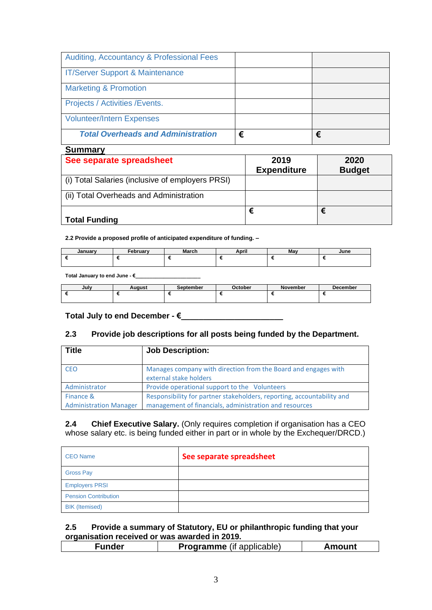| <b>Auditing, Accountancy &amp; Professional Fees</b> |   |   |
|------------------------------------------------------|---|---|
| <b>IT/Server Support &amp; Maintenance</b>           |   |   |
| <b>Marketing &amp; Promotion</b>                     |   |   |
| Projects / Activities / Events.                      |   |   |
| <b>Volunteer/Intern Expenses</b>                     |   |   |
| <b>Total Overheads and Administration</b>            | € | € |

| <b>Summary</b>                                   |                            |                       |
|--------------------------------------------------|----------------------------|-----------------------|
| See separate spreadsheet                         | 2019<br><b>Expenditure</b> | 2020<br><b>Budget</b> |
| (i) Total Salaries (inclusive of employers PRSI) |                            |                       |
| (ii) Total Overheads and Administration          |                            |                       |
| <b>Total Funding</b>                             | €                          | €                     |

**2.2 Provide a proposed profile of anticipated expenditure of funding. –**

| lanuarv<br>nuai | Februarv<br>cn | March | $\cdot$<br>April | May | June |
|-----------------|----------------|-------|------------------|-----|------|
|                 |                |       |                  |     |      |

**Total January to end June - €\_\_\_\_\_\_\_\_\_\_\_\_\_\_\_\_\_\_\_\_\_\_\_**

| July | Auaust | September | $\cap$ ctober | <b>November</b> | <b>December</b> |
|------|--------|-----------|---------------|-----------------|-----------------|
|      |        |           |               |                 |                 |

**Total July to end December - €\_\_\_\_\_\_\_\_\_\_\_\_\_\_\_\_\_\_\_\_\_\_\_**

#### **2.3 Provide job descriptions for all posts being funded by the Department.**

| <b>Title</b>                  | <b>Job Description:</b>                                                                  |
|-------------------------------|------------------------------------------------------------------------------------------|
| <b>CEO</b>                    | Manages company with direction from the Board and engages with<br>external stake holders |
| Administrator                 | Provide operational support to the Volunteers                                            |
| Finance &                     | Responsibility for partner stakeholders, reporting, accountability and                   |
| <b>Administration Manager</b> | management of financials, administration and resources                                   |

**2.4 Chief Executive Salary.** (Only requires completion if organisation has a CEO whose salary etc. is being funded either in part or in whole by the Exchequer/DRCD.)

| <b>CEO Name</b>             | See separate spreadsheet |
|-----------------------------|--------------------------|
| <b>Gross Pay</b>            |                          |
| <b>Employers PRSI</b>       |                          |
| <b>Pension Contribution</b> |                          |
| <b>BIK</b> (Itemised)       |                          |

# **2.5 Provide a summary of Statutory, EU or philanthropic funding that your organisation received or was awarded in 2019.**

| <b>Programme</b> (if applicable)<br>Amount |
|--------------------------------------------|
|--------------------------------------------|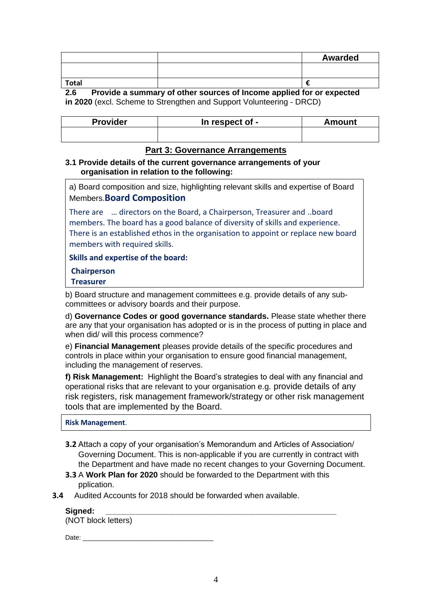|                                |               |     |   | <b>Awarded</b> |
|--------------------------------|---------------|-----|---|----------------|
|                                |               |     |   |                |
| <b>Total</b>                   |               |     |   |                |
| $\sim$ $\sim$<br>. .<br>$\sim$ | $\sim$ $\sim$ | . . | . | . .            |

**2.6 Provide a summary of other sources of Income applied for or expected in 2020** (excl. Scheme to Strengthen and Support Volunteering - DRCD)

| <b>Provider</b> | In respect of - | Amount |
|-----------------|-----------------|--------|
|                 |                 |        |

# **Part 3: Governance Arrangements**

#### **3.1 Provide details of the current governance arrangements of your organisation in relation to the following:**

a) Board composition and size, highlighting relevant skills and expertise of Board Members.**Board Composition**

There are … directors on the Board, a Chairperson, Treasurer and ..board members. The board has a good balance of diversity of skills and experience. There is an established ethos in the organisation to appoint or replace new board members with required skills.

**Skills and expertise of the board:**

# **Chairperson**

# **Treasurer**

b) Board structure and management committees e.g. provide details of any subcommittees or advisory boards and their purpose.

d) **Governance Codes or good governance standards.** Please state whether there are any that your organisation has adopted or is in the process of putting in place and when did/ will this process commence?

e) **Financial Management** pleases provide details of the specific procedures and controls in place within your organisation to ensure good financial management, including the management of reserves.

**f) Risk Management:** Highlight the Board's strategies to deal with any financial and operational risks that are relevant to your organisation e.g. provide details of any risk registers, risk management framework/strategy or other risk management tools that are implemented by the Board.

**Risk Management**.

- **3.2** Attach a copy of your organisation's Memorandum and Articles of Association/ Governing Document. This is non-applicable if you are currently in contract with the Department and have made no recent changes to your Governing Document.
- **3.3** A **Work Plan for 2020** should be forwarded to the Department with this pplication.
- **3.4** Audited Accounts for 2018 should be forwarded when available.

#### **Signed: \_\_\_\_\_\_\_\_\_\_\_\_\_\_\_\_\_\_\_\_\_\_\_\_\_\_\_\_\_\_\_\_\_\_\_\_\_\_\_\_\_\_\_\_\_\_\_\_\_\_\_\_**

(NOT block letters)

Date:  $\Box$